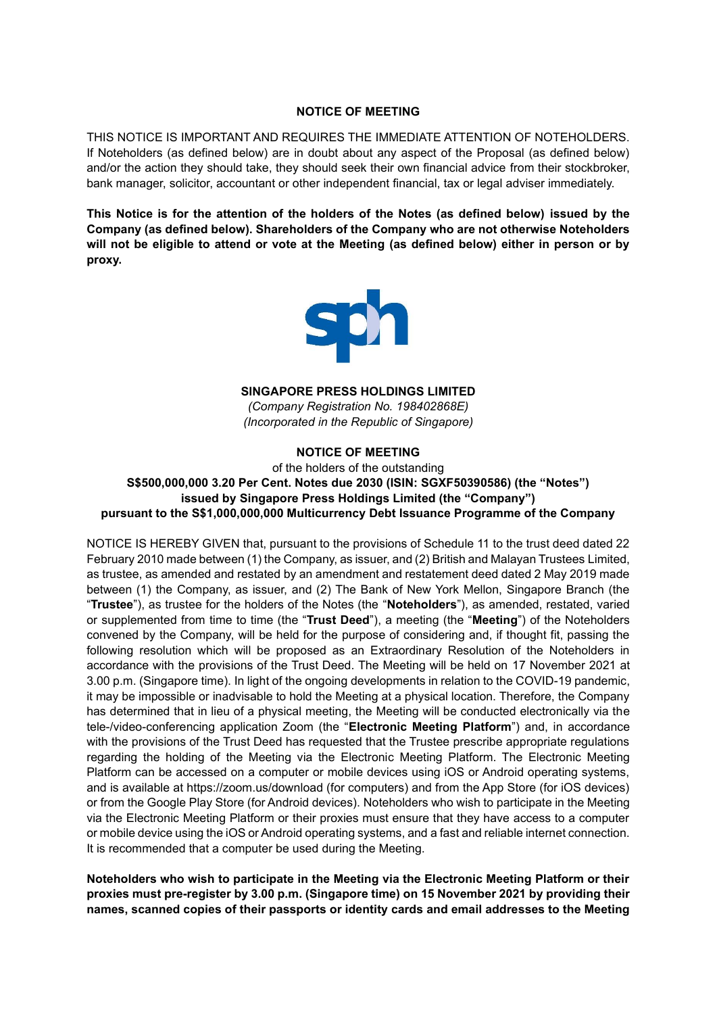### **NOTICE OF MEETING**

THIS NOTICE IS IMPORTANT AND REQUIRES THE IMMEDIATE ATTENTION OF NOTEHOLDERS. If Noteholders (as defined below) are in doubt about any aspect of the Proposal (as defined below) and/or the action they should take, they should seek their own financial advice from their stockbroker, bank manager, solicitor, accountant or other independent financial, tax or legal adviser immediately.

**This Notice is for the attention of the holders of the Notes (as defined below) issued by the Company (as defined below). Shareholders of the Company who are not otherwise Noteholders will not be eligible to attend or vote at the Meeting (as defined below) either in person or by proxy.**



**SINGAPORE PRESS HOLDINGS LIMITED**

*(Company Registration No. 198402868E) (Incorporated in the Republic of Singapore)* 

# **NOTICE OF MEETING**

of the holders of the outstanding **S\$500,000,000 3.20 Per Cent. Notes due 2030 (ISIN: SGXF50390586) (the "Notes") issued by Singapore Press Holdings Limited (the "Company") pursuant to the S\$1,000,000,000 Multicurrency Debt Issuance Programme of the Company**

NOTICE IS HEREBY GIVEN that, pursuant to the provisions of Schedule 11 to the trust deed dated 22 February 2010 made between (1) the Company, as issuer, and (2) British and Malayan Trustees Limited, as trustee, as amended and restated by an amendment and restatement deed dated 2 May 2019 made between (1) the Company, as issuer, and (2) The Bank of New York Mellon, Singapore Branch (the "**Trustee**"), as trustee for the holders of the Notes (the "**Noteholders**"), as amended, restated, varied or supplemented from time to time (the "**Trust Deed**"), a meeting (the "**Meeting**") of the Noteholders convened by the Company, will be held for the purpose of considering and, if thought fit, passing the following resolution which will be proposed as an Extraordinary Resolution of the Noteholders in accordance with the provisions of the Trust Deed. The Meeting will be held on 17 November 2021 at 3.00 p.m. (Singapore time). In light of the ongoing developments in relation to the COVID-19 pandemic, it may be impossible or inadvisable to hold the Meeting at a physical location. Therefore, the Company has determined that in lieu of a physical meeting, the Meeting will be conducted electronically via the tele-/video-conferencing application Zoom (the "**Electronic Meeting Platform**") and, in accordance with the provisions of the Trust Deed has requested that the Trustee prescribe appropriate regulations regarding the holding of the Meeting via the Electronic Meeting Platform. The Electronic Meeting Platform can be accessed on a computer or mobile devices using iOS or Android operating systems, and is available at https://zoom.us/download (for computers) and from the App Store (for iOS devices) or from the Google Play Store (for Android devices). Noteholders who wish to participate in the Meeting via the Electronic Meeting Platform or their proxies must ensure that they have access to a computer or mobile device using the iOS or Android operating systems, and a fast and reliable internet connection. It is recommended that a computer be used during the Meeting.

**Noteholders who wish to participate in the Meeting via the Electronic Meeting Platform or their proxies must pre-register by 3.00 p.m. (Singapore time) on 15 November 2021 by providing their names, scanned copies of their passports or identity cards and email addresses to the Meeting**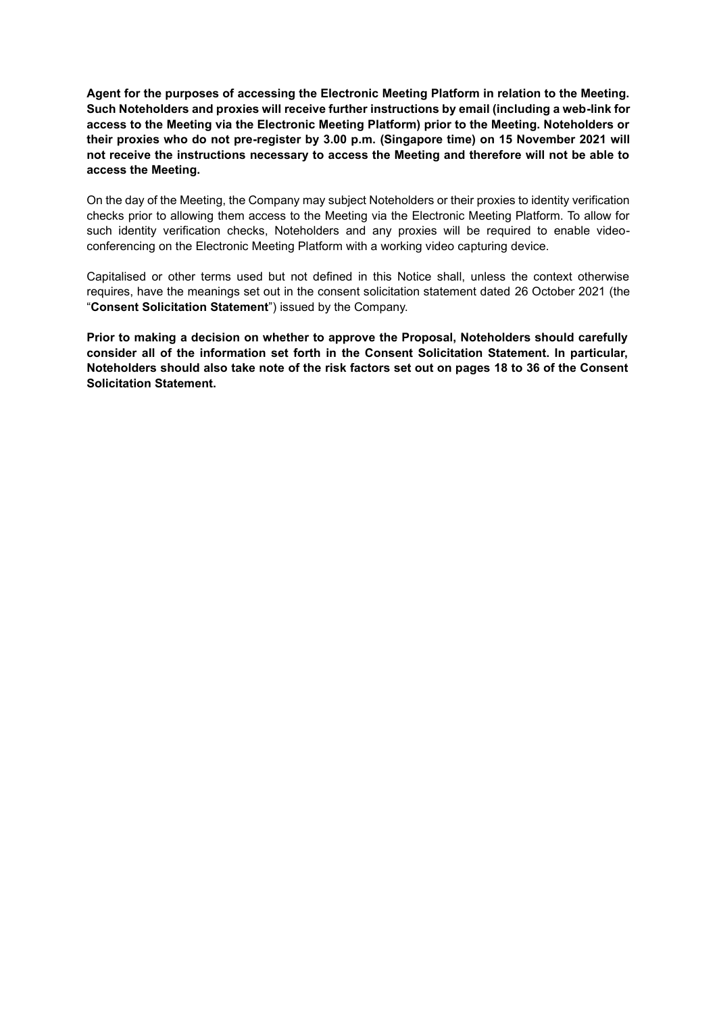**Agent for the purposes of accessing the Electronic Meeting Platform in relation to the Meeting. Such Noteholders and proxies will receive further instructions by email (including a web-link for access to the Meeting via the Electronic Meeting Platform) prior to the Meeting. Noteholders or their proxies who do not pre-register by 3.00 p.m. (Singapore time) on 15 November 2021 will not receive the instructions necessary to access the Meeting and therefore will not be able to access the Meeting.**

On the day of the Meeting, the Company may subject Noteholders or their proxies to identity verification checks prior to allowing them access to the Meeting via the Electronic Meeting Platform. To allow for such identity verification checks, Noteholders and any proxies will be required to enable videoconferencing on the Electronic Meeting Platform with a working video capturing device.

Capitalised or other terms used but not defined in this Notice shall, unless the context otherwise requires, have the meanings set out in the consent solicitation statement dated 26 October 2021 (the "**Consent Solicitation Statement**") issued by the Company.

**Prior to making a decision on whether to approve the Proposal, Noteholders should carefully consider all of the information set forth in the Consent Solicitation Statement. In particular, Noteholders should also take note of the risk factors set out on pages 18 to 36 of the Consent Solicitation Statement.**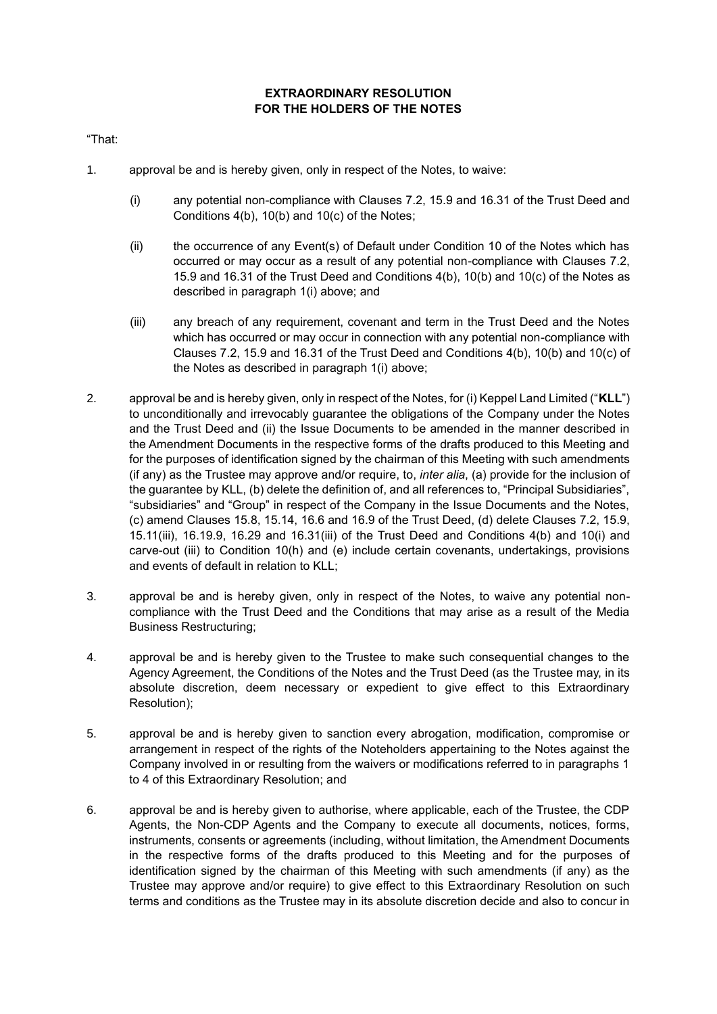# **EXTRAORDINARY RESOLUTION FOR THE HOLDERS OF THE NOTES**

"That:

- 1. approval be and is hereby given, only in respect of the Notes, to waive:
	- (i) any potential non-compliance with Clauses 7.2, 15.9 and 16.31 of the Trust Deed and Conditions 4(b), 10(b) and 10(c) of the Notes;
	- (ii) the occurrence of any Event(s) of Default under Condition 10 of the Notes which has occurred or may occur as a result of any potential non-compliance with Clauses 7.2, 15.9 and 16.31 of the Trust Deed and Conditions 4(b), 10(b) and 10(c) of the Notes as described in paragraph 1(i) above; and
	- (iii) any breach of any requirement, covenant and term in the Trust Deed and the Notes which has occurred or may occur in connection with any potential non-compliance with Clauses 7.2, 15.9 and 16.31 of the Trust Deed and Conditions 4(b), 10(b) and 10(c) of the Notes as described in paragraph 1(i) above;
- 2. approval be and is hereby given, only in respect of the Notes, for (i) Keppel Land Limited ("**KLL**") to unconditionally and irrevocably guarantee the obligations of the Company under the Notes and the Trust Deed and (ii) the Issue Documents to be amended in the manner described in the Amendment Documents in the respective forms of the drafts produced to this Meeting and for the purposes of identification signed by the chairman of this Meeting with such amendments (if any) as the Trustee may approve and/or require, to, *inter alia*, (a) provide for the inclusion of the guarantee by KLL, (b) delete the definition of, and all references to, "Principal Subsidiaries", "subsidiaries" and "Group" in respect of the Company in the Issue Documents and the Notes, (c) amend Clauses 15.8, 15.14, 16.6 and 16.9 of the Trust Deed, (d) delete Clauses 7.2, 15.9, 15.11(iii), 16.19.9, 16.29 and 16.31(iii) of the Trust Deed and Conditions 4(b) and 10(i) and carve-out (iii) to Condition 10(h) and (e) include certain covenants, undertakings, provisions and events of default in relation to KLL;
- 3. approval be and is hereby given, only in respect of the Notes, to waive any potential noncompliance with the Trust Deed and the Conditions that may arise as a result of the Media Business Restructuring;
- 4. approval be and is hereby given to the Trustee to make such consequential changes to the Agency Agreement, the Conditions of the Notes and the Trust Deed (as the Trustee may, in its absolute discretion, deem necessary or expedient to give effect to this Extraordinary Resolution);
- 5. approval be and is hereby given to sanction every abrogation, modification, compromise or arrangement in respect of the rights of the Noteholders appertaining to the Notes against the Company involved in or resulting from the waivers or modifications referred to in paragraphs 1 to 4 of this Extraordinary Resolution; and
- 6. approval be and is hereby given to authorise, where applicable, each of the Trustee, the CDP Agents, the Non-CDP Agents and the Company to execute all documents, notices, forms, instruments, consents or agreements (including, without limitation, the Amendment Documents in the respective forms of the drafts produced to this Meeting and for the purposes of identification signed by the chairman of this Meeting with such amendments (if any) as the Trustee may approve and/or require) to give effect to this Extraordinary Resolution on such terms and conditions as the Trustee may in its absolute discretion decide and also to concur in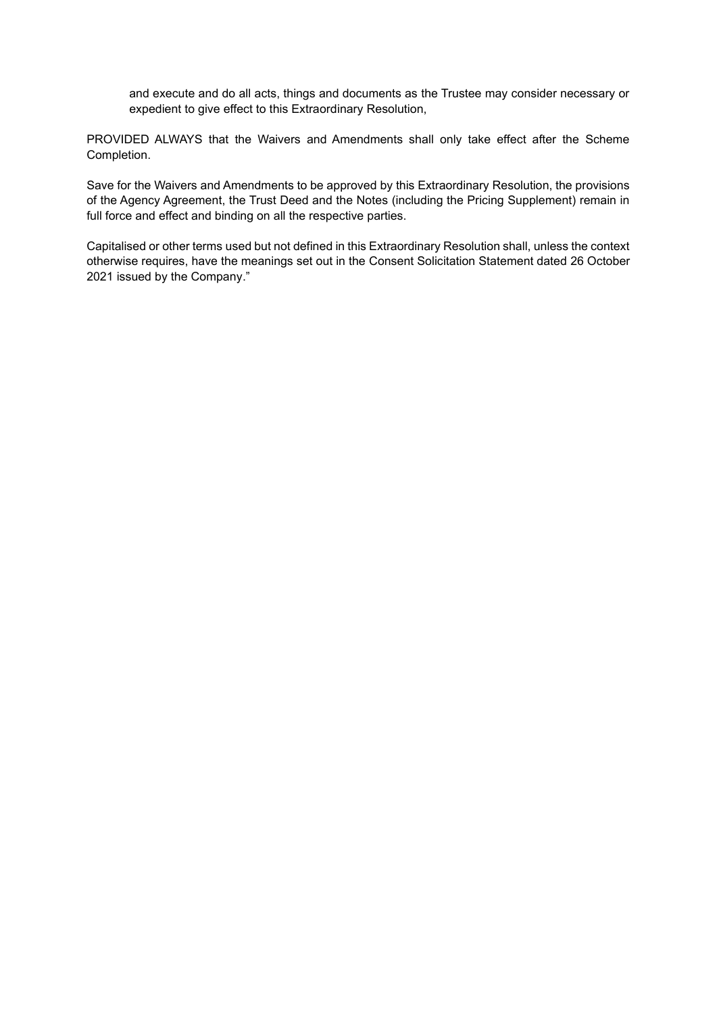and execute and do all acts, things and documents as the Trustee may consider necessary or expedient to give effect to this Extraordinary Resolution,

PROVIDED ALWAYS that the Waivers and Amendments shall only take effect after the Scheme Completion.

Save for the Waivers and Amendments to be approved by this Extraordinary Resolution, the provisions of the Agency Agreement, the Trust Deed and the Notes (including the Pricing Supplement) remain in full force and effect and binding on all the respective parties.

Capitalised or other terms used but not defined in this Extraordinary Resolution shall, unless the context otherwise requires, have the meanings set out in the Consent Solicitation Statement dated 26 October 2021 issued by the Company."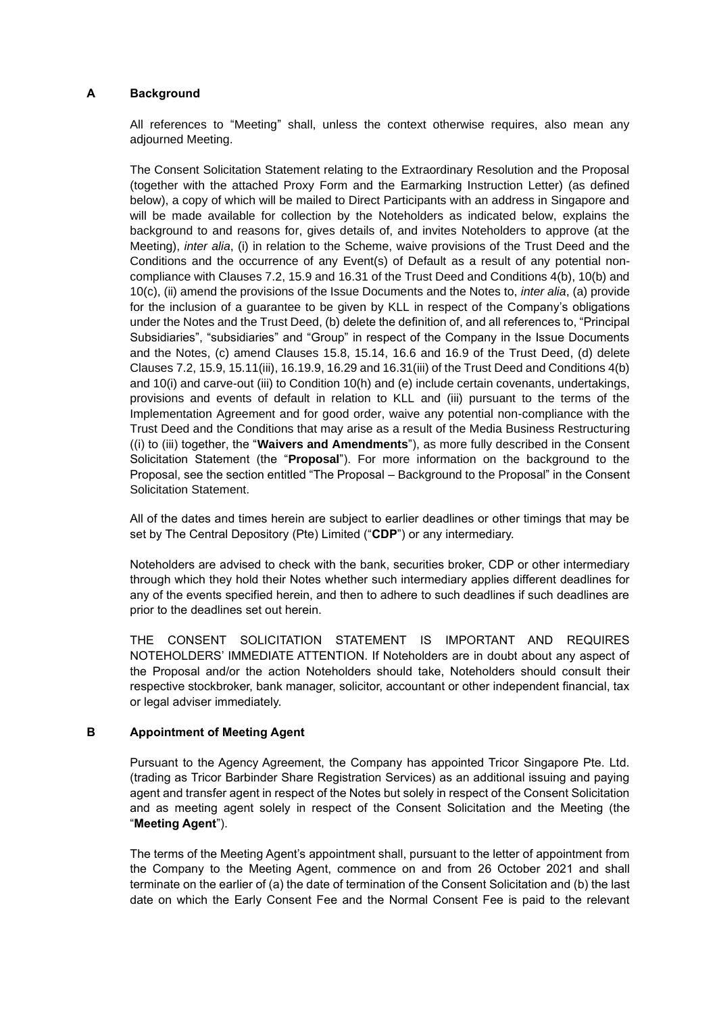## **A Background**

All references to "Meeting" shall, unless the context otherwise requires, also mean any adjourned Meeting.

The Consent Solicitation Statement relating to the Extraordinary Resolution and the Proposal (together with the attached Proxy Form and the Earmarking Instruction Letter) (as defined below), a copy of which will be mailed to Direct Participants with an address in Singapore and will be made available for collection by the Noteholders as indicated below, explains the background to and reasons for, gives details of, and invites Noteholders to approve (at the Meeting), *inter alia*, (i) in relation to the Scheme, waive provisions of the Trust Deed and the Conditions and the occurrence of any Event(s) of Default as a result of any potential noncompliance with Clauses 7.2, 15.9 and 16.31 of the Trust Deed and Conditions 4(b), 10(b) and 10(c), (ii) amend the provisions of the Issue Documents and the Notes to, *inter alia*, (a) provide for the inclusion of a guarantee to be given by KLL in respect of the Company's obligations under the Notes and the Trust Deed, (b) delete the definition of, and all references to, "Principal Subsidiaries", "subsidiaries" and "Group" in respect of the Company in the Issue Documents and the Notes, (c) amend Clauses 15.8, 15.14, 16.6 and 16.9 of the Trust Deed, (d) delete Clauses 7.2, 15.9, 15.11(iii), 16.19.9, 16.29 and 16.31(iii) of the Trust Deed and Conditions 4(b) and 10(i) and carve-out (iii) to Condition 10(h) and (e) include certain covenants, undertakings, provisions and events of default in relation to KLL and (iii) pursuant to the terms of the Implementation Agreement and for good order, waive any potential non-compliance with the Trust Deed and the Conditions that may arise as a result of the Media Business Restructuring ((i) to (iii) together, the "**Waivers and Amendments**"), as more fully described in the Consent Solicitation Statement (the "**Proposal**"). For more information on the background to the Proposal, see the section entitled "The Proposal – Background to the Proposal" in the Consent Solicitation Statement.

All of the dates and times herein are subject to earlier deadlines or other timings that may be set by The Central Depository (Pte) Limited ("**CDP**") or any intermediary.

Noteholders are advised to check with the bank, securities broker, CDP or other intermediary through which they hold their Notes whether such intermediary applies different deadlines for any of the events specified herein, and then to adhere to such deadlines if such deadlines are prior to the deadlines set out herein.

THE CONSENT SOLICITATION STATEMENT IS IMPORTANT AND REQUIRES NOTEHOLDERS' IMMEDIATE ATTENTION. If Noteholders are in doubt about any aspect of the Proposal and/or the action Noteholders should take, Noteholders should consult their respective stockbroker, bank manager, solicitor, accountant or other independent financial, tax or legal adviser immediately.

# **B Appointment of Meeting Agent**

Pursuant to the Agency Agreement, the Company has appointed Tricor Singapore Pte. Ltd. (trading as Tricor Barbinder Share Registration Services) as an additional issuing and paying agent and transfer agent in respect of the Notes but solely in respect of the Consent Solicitation and as meeting agent solely in respect of the Consent Solicitation and the Meeting (the "**Meeting Agent**").

The terms of the Meeting Agent's appointment shall, pursuant to the letter of appointment from the Company to the Meeting Agent, commence on and from 26 October 2021 and shall terminate on the earlier of (a) the date of termination of the Consent Solicitation and (b) the last date on which the Early Consent Fee and the Normal Consent Fee is paid to the relevant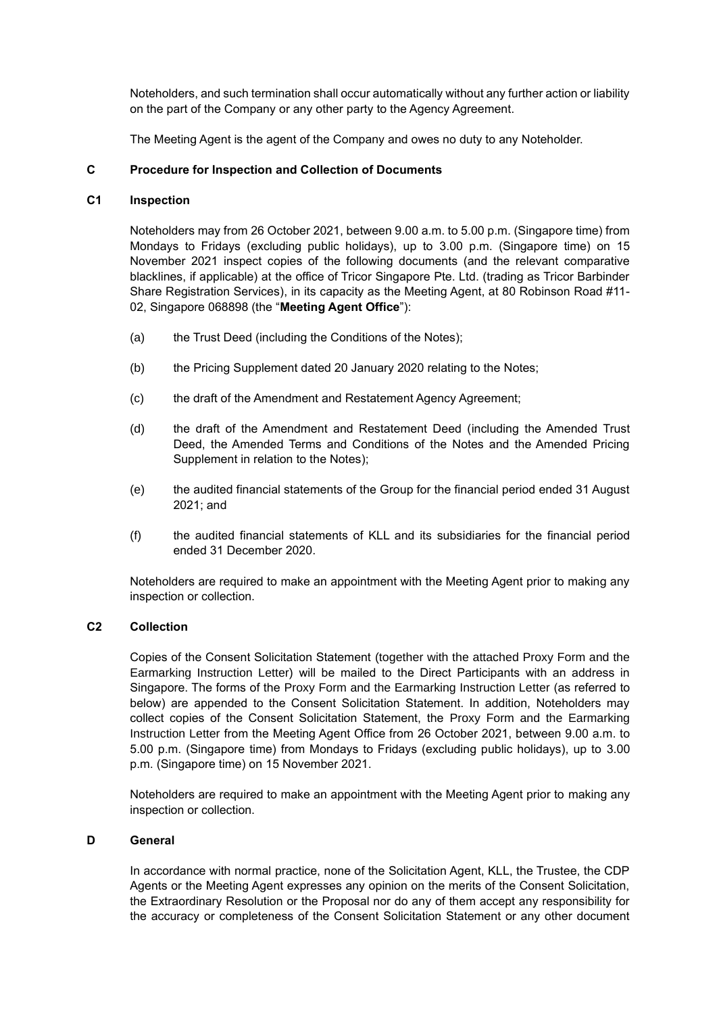Noteholders, and such termination shall occur automatically without any further action or liability on the part of the Company or any other party to the Agency Agreement.

The Meeting Agent is the agent of the Company and owes no duty to any Noteholder.

## **C Procedure for Inspection and Collection of Documents**

### **C1 Inspection**

Noteholders may from 26 October 2021, between 9.00 a.m. to 5.00 p.m. (Singapore time) from Mondays to Fridays (excluding public holidays), up to 3.00 p.m. (Singapore time) on 15 November 2021 inspect copies of the following documents (and the relevant comparative blacklines, if applicable) at the office of Tricor Singapore Pte. Ltd. (trading as Tricor Barbinder Share Registration Services), in its capacity as the Meeting Agent, at 80 Robinson Road #11- 02, Singapore 068898 (the "**Meeting Agent Office**"):

- (a) the Trust Deed (including the Conditions of the Notes);
- (b) the Pricing Supplement dated 20 January 2020 relating to the Notes;
- (c) the draft of the Amendment and Restatement Agency Agreement;
- (d) the draft of the Amendment and Restatement Deed (including the Amended Trust Deed, the Amended Terms and Conditions of the Notes and the Amended Pricing Supplement in relation to the Notes);
- (e) the audited financial statements of the Group for the financial period ended 31 August 2021; and
- (f) the audited financial statements of KLL and its subsidiaries for the financial period ended 31 December 2020.

Noteholders are required to make an appointment with the Meeting Agent prior to making any inspection or collection.

## **C2 Collection**

Copies of the Consent Solicitation Statement (together with the attached Proxy Form and the Earmarking Instruction Letter) will be mailed to the Direct Participants with an address in Singapore. The forms of the Proxy Form and the Earmarking Instruction Letter (as referred to below) are appended to the Consent Solicitation Statement. In addition, Noteholders may collect copies of the Consent Solicitation Statement, the Proxy Form and the Earmarking Instruction Letter from the Meeting Agent Office from 26 October 2021, between 9.00 a.m. to 5.00 p.m. (Singapore time) from Mondays to Fridays (excluding public holidays), up to 3.00 p.m. (Singapore time) on 15 November 2021.

Noteholders are required to make an appointment with the Meeting Agent prior to making any inspection or collection.

## **D General**

In accordance with normal practice, none of the Solicitation Agent, KLL, the Trustee, the CDP Agents or the Meeting Agent expresses any opinion on the merits of the Consent Solicitation, the Extraordinary Resolution or the Proposal nor do any of them accept any responsibility for the accuracy or completeness of the Consent Solicitation Statement or any other document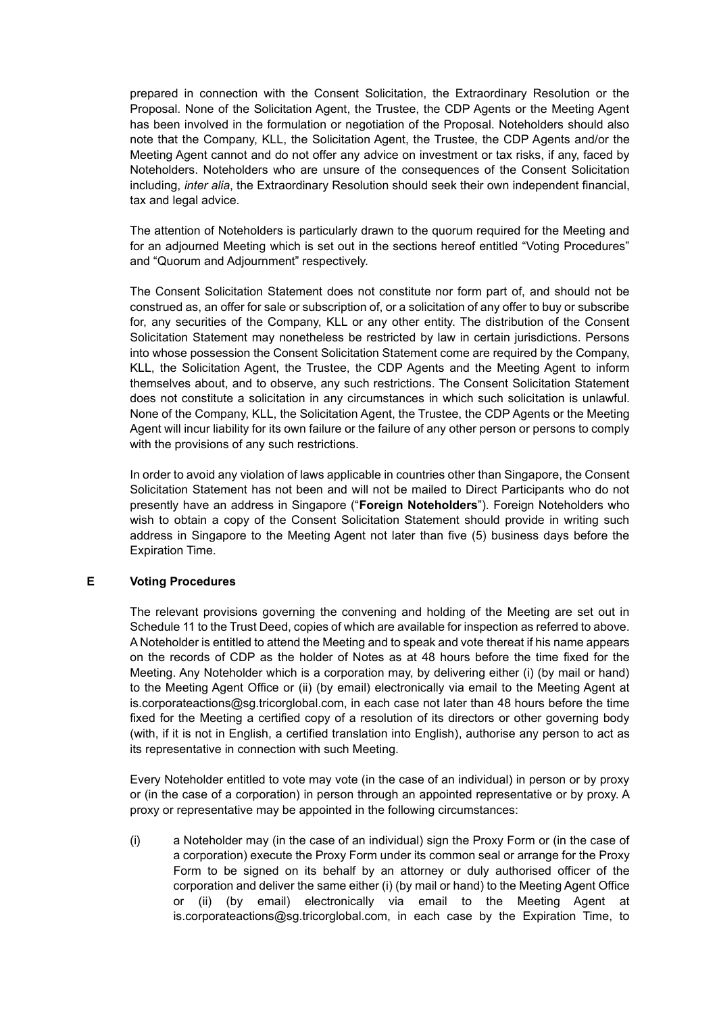prepared in connection with the Consent Solicitation, the Extraordinary Resolution or the Proposal. None of the Solicitation Agent, the Trustee, the CDP Agents or the Meeting Agent has been involved in the formulation or negotiation of the Proposal. Noteholders should also note that the Company, KLL, the Solicitation Agent, the Trustee, the CDP Agents and/or the Meeting Agent cannot and do not offer any advice on investment or tax risks, if any, faced by Noteholders. Noteholders who are unsure of the consequences of the Consent Solicitation including, *inter alia*, the Extraordinary Resolution should seek their own independent financial, tax and legal advice.

The attention of Noteholders is particularly drawn to the quorum required for the Meeting and for an adjourned Meeting which is set out in the sections hereof entitled "Voting Procedures" and "Quorum and Adjournment" respectively.

The Consent Solicitation Statement does not constitute nor form part of, and should not be construed as, an offer for sale or subscription of, or a solicitation of any offer to buy or subscribe for, any securities of the Company, KLL or any other entity. The distribution of the Consent Solicitation Statement may nonetheless be restricted by law in certain jurisdictions. Persons into whose possession the Consent Solicitation Statement come are required by the Company, KLL, the Solicitation Agent, the Trustee, the CDP Agents and the Meeting Agent to inform themselves about, and to observe, any such restrictions. The Consent Solicitation Statement does not constitute a solicitation in any circumstances in which such solicitation is unlawful. None of the Company, KLL, the Solicitation Agent, the Trustee, the CDP Agents or the Meeting Agent will incur liability for its own failure or the failure of any other person or persons to comply with the provisions of any such restrictions.

In order to avoid any violation of laws applicable in countries other than Singapore, the Consent Solicitation Statement has not been and will not be mailed to Direct Participants who do not presently have an address in Singapore ("**Foreign Noteholders**"). Foreign Noteholders who wish to obtain a copy of the Consent Solicitation Statement should provide in writing such address in Singapore to the Meeting Agent not later than five (5) business days before the Expiration Time.

# **E Voting Procedures**

The relevant provisions governing the convening and holding of the Meeting are set out in Schedule 11 to the Trust Deed, copies of which are available for inspection as referred to above. A Noteholder is entitled to attend the Meeting and to speak and vote thereat if his name appears on the records of CDP as the holder of Notes as at 48 hours before the time fixed for the Meeting. Any Noteholder which is a corporation may, by delivering either (i) (by mail or hand) to the Meeting Agent Office or (ii) (by email) electronically via email to the Meeting Agent at is.corporateactions@sg.tricorglobal.com, in each case not later than 48 hours before the time fixed for the Meeting a certified copy of a resolution of its directors or other governing body (with, if it is not in English, a certified translation into English), authorise any person to act as its representative in connection with such Meeting.

Every Noteholder entitled to vote may vote (in the case of an individual) in person or by proxy or (in the case of a corporation) in person through an appointed representative or by proxy. A proxy or representative may be appointed in the following circumstances:

(i) a Noteholder may (in the case of an individual) sign the Proxy Form or (in the case of a corporation) execute the Proxy Form under its common seal or arrange for the Proxy Form to be signed on its behalf by an attorney or duly authorised officer of the corporation and deliver the same either (i) (by mail or hand) to the Meeting Agent Office or (ii) (by email) electronically via email to the Meeting Agent at is.corporateactions@sg.tricorglobal.com, in each case by the Expiration Time, to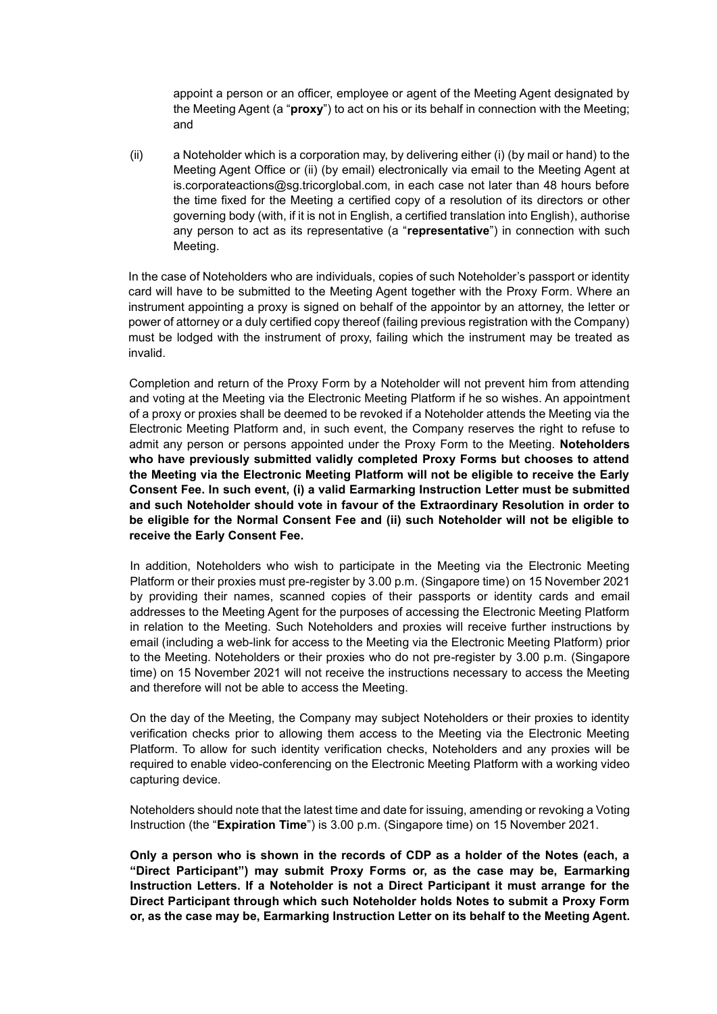appoint a person or an officer, employee or agent of the Meeting Agent designated by the Meeting Agent (a "**proxy**") to act on his or its behalf in connection with the Meeting; and

(ii) a Noteholder which is a corporation may, by delivering either (i) (by mail or hand) to the Meeting Agent Office or (ii) (by email) electronically via email to the Meeting Agent at is.corporateactions@sg.tricorglobal.com, in each case not later than 48 hours before the time fixed for the Meeting a certified copy of a resolution of its directors or other governing body (with, if it is not in English, a certified translation into English), authorise any person to act as its representative (a "**representative**") in connection with such Meeting.

In the case of Noteholders who are individuals, copies of such Noteholder's passport or identity card will have to be submitted to the Meeting Agent together with the Proxy Form. Where an instrument appointing a proxy is signed on behalf of the appointor by an attorney, the letter or power of attorney or a duly certified copy thereof (failing previous registration with the Company) must be lodged with the instrument of proxy, failing which the instrument may be treated as invalid.

Completion and return of the Proxy Form by a Noteholder will not prevent him from attending and voting at the Meeting via the Electronic Meeting Platform if he so wishes. An appointment of a proxy or proxies shall be deemed to be revoked if a Noteholder attends the Meeting via the Electronic Meeting Platform and, in such event, the Company reserves the right to refuse to admit any person or persons appointed under the Proxy Form to the Meeting. **Noteholders who have previously submitted validly completed Proxy Forms but chooses to attend the Meeting via the Electronic Meeting Platform will not be eligible to receive the Early Consent Fee. In such event, (i) a valid Earmarking Instruction Letter must be submitted and such Noteholder should vote in favour of the Extraordinary Resolution in order to be eligible for the Normal Consent Fee and (ii) such Noteholder will not be eligible to receive the Early Consent Fee.**

In addition, Noteholders who wish to participate in the Meeting via the Electronic Meeting Platform or their proxies must pre-register by 3.00 p.m. (Singapore time) on 15 November 2021 by providing their names, scanned copies of their passports or identity cards and email addresses to the Meeting Agent for the purposes of accessing the Electronic Meeting Platform in relation to the Meeting. Such Noteholders and proxies will receive further instructions by email (including a web-link for access to the Meeting via the Electronic Meeting Platform) prior to the Meeting. Noteholders or their proxies who do not pre-register by 3.00 p.m. (Singapore time) on 15 November 2021 will not receive the instructions necessary to access the Meeting and therefore will not be able to access the Meeting.

On the day of the Meeting, the Company may subject Noteholders or their proxies to identity verification checks prior to allowing them access to the Meeting via the Electronic Meeting Platform. To allow for such identity verification checks, Noteholders and any proxies will be required to enable video-conferencing on the Electronic Meeting Platform with a working video capturing device.

Noteholders should note that the latest time and date for issuing, amending or revoking a Voting Instruction (the "**Expiration Time**") is 3.00 p.m. (Singapore time) on 15 November 2021.

**Only a person who is shown in the records of CDP as a holder of the Notes (each, a "Direct Participant") may submit Proxy Forms or, as the case may be, Earmarking Instruction Letters. If a Noteholder is not a Direct Participant it must arrange for the Direct Participant through which such Noteholder holds Notes to submit a Proxy Form or, as the case may be, Earmarking Instruction Letter on its behalf to the Meeting Agent.**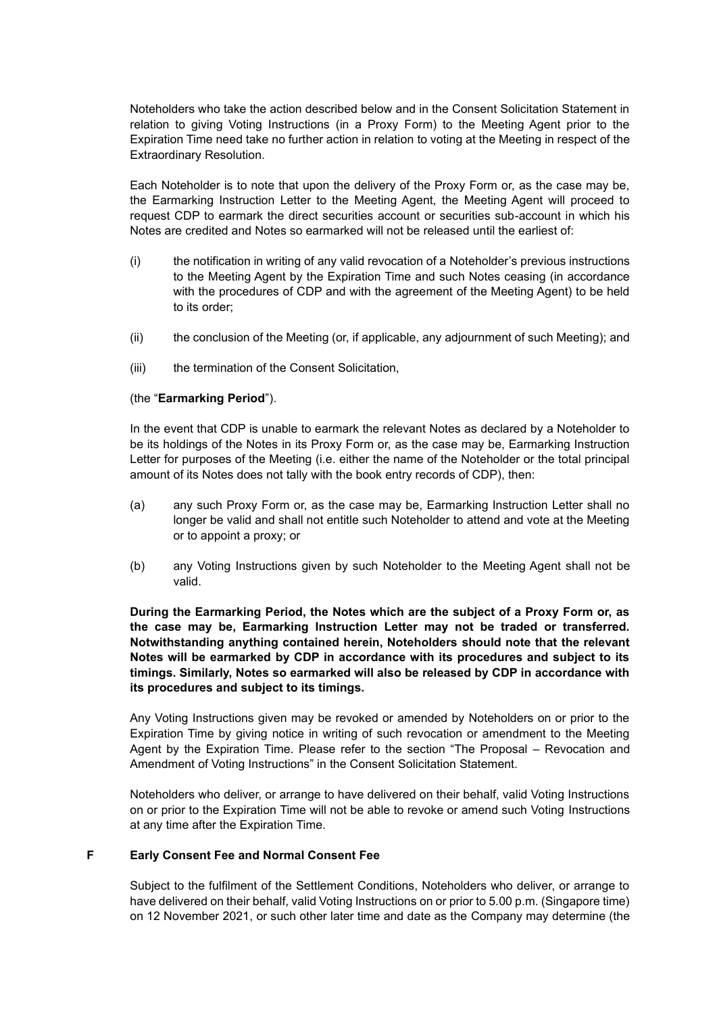Noteholders who take the action described below and in the Consent Solicitation Statement in relation to giving Voting Instructions (in a Proxy Form) to the Meeting Agent prior to the Expiration Time need take no further action in relation to voting at the Meeting in respect of the Extraordinary Resolution.

Each Noteholder is to note that upon the delivery of the Proxy Form or, as the case may be, the Earmarking Instruction Letter to the Meeting Agent, the Meeting Agent will proceed to request CDP to earmark the direct securities account or securities sub-account in which his Notes are credited and Notes so earmarked will not be released until the earliest of:

- (i) the notification in writing of any valid revocation of a Noteholder's previous instructions to the Meeting Agent by the Expiration Time and such Notes ceasing (in accordance with the procedures of CDP and with the agreement of the Meeting Agent) to be held to its order;
- (ii) the conclusion of the Meeting (or, if applicable, any adjournment of such Meeting); and
- (iii) the termination of the Consent Solicitation,

## (the "**Earmarking Period**").

In the event that CDP is unable to earmark the relevant Notes as declared by a Noteholder to be its holdings of the Notes in its Proxy Form or, as the case may be, Earmarking Instruction Letter for purposes of the Meeting (i.e. either the name of the Noteholder or the total principal amount of its Notes does not tally with the book entry records of CDP), then:

- (a) any such Proxy Form or, as the case may be, Earmarking Instruction Letter shall no longer be valid and shall not entitle such Noteholder to attend and vote at the Meeting or to appoint a proxy; or
- (b) any Voting Instructions given by such Noteholder to the Meeting Agent shall not be valid.

**During the Earmarking Period, the Notes which are the subject of a Proxy Form or, as the case may be, Earmarking Instruction Letter may not be traded or transferred. Notwithstanding anything contained herein, Noteholders should note that the relevant Notes will be earmarked by CDP in accordance with its procedures and subject to its timings. Similarly, Notes so earmarked will also be released by CDP in accordance with its procedures and subject to its timings.**

Any Voting Instructions given may be revoked or amended by Noteholders on or prior to the Expiration Time by giving notice in writing of such revocation or amendment to the Meeting Agent by the Expiration Time. Please refer to the section "The Proposal – Revocation and Amendment of Voting Instructions" in the Consent Solicitation Statement.

Noteholders who deliver, or arrange to have delivered on their behalf, valid Voting Instructions on or prior to the Expiration Time will not be able to revoke or amend such Voting Instructions at any time after the Expiration Time.

#### **F Early Consent Fee and Normal Consent Fee**

Subject to the fulfilment of the Settlement Conditions, Noteholders who deliver, or arrange to have delivered on their behalf, valid Voting Instructions on or prior to 5.00 p.m. (Singapore time) on 12 November 2021, or such other later time and date as the Company may determine (the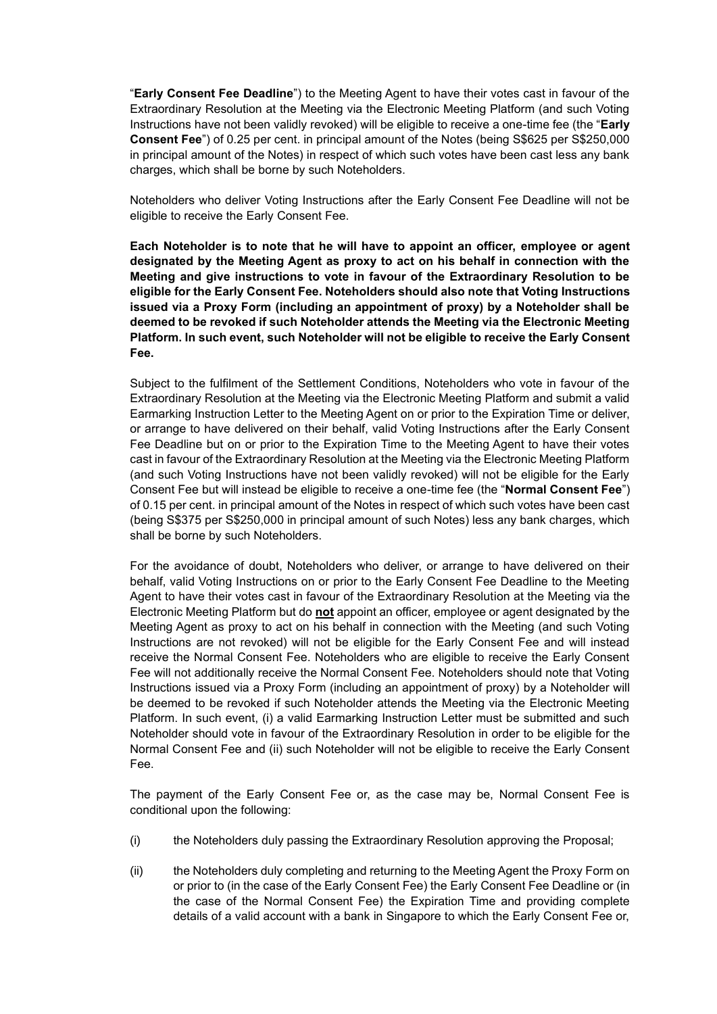"**Early Consent Fee Deadline**") to the Meeting Agent to have their votes cast in favour of the Extraordinary Resolution at the Meeting via the Electronic Meeting Platform (and such Voting Instructions have not been validly revoked) will be eligible to receive a one-time fee (the "**Early Consent Fee**") of 0.25 per cent. in principal amount of the Notes (being S\$625 per S\$250,000 in principal amount of the Notes) in respect of which such votes have been cast less any bank charges, which shall be borne by such Noteholders.

Noteholders who deliver Voting Instructions after the Early Consent Fee Deadline will not be eligible to receive the Early Consent Fee.

**Each Noteholder is to note that he will have to appoint an officer, employee or agent designated by the Meeting Agent as proxy to act on his behalf in connection with the Meeting and give instructions to vote in favour of the Extraordinary Resolution to be eligible for the Early Consent Fee. Noteholders should also note that Voting Instructions issued via a Proxy Form (including an appointment of proxy) by a Noteholder shall be deemed to be revoked if such Noteholder attends the Meeting via the Electronic Meeting Platform. In such event, such Noteholder will not be eligible to receive the Early Consent Fee.**

Subject to the fulfilment of the Settlement Conditions, Noteholders who vote in favour of the Extraordinary Resolution at the Meeting via the Electronic Meeting Platform and submit a valid Earmarking Instruction Letter to the Meeting Agent on or prior to the Expiration Time or deliver, or arrange to have delivered on their behalf, valid Voting Instructions after the Early Consent Fee Deadline but on or prior to the Expiration Time to the Meeting Agent to have their votes cast in favour of the Extraordinary Resolution at the Meeting via the Electronic Meeting Platform (and such Voting Instructions have not been validly revoked) will not be eligible for the Early Consent Fee but will instead be eligible to receive a one-time fee (the "**Normal Consent Fee**") of 0.15 per cent. in principal amount of the Notes in respect of which such votes have been cast (being S\$375 per S\$250,000 in principal amount of such Notes) less any bank charges, which shall be borne by such Noteholders.

For the avoidance of doubt, Noteholders who deliver, or arrange to have delivered on their behalf, valid Voting Instructions on or prior to the Early Consent Fee Deadline to the Meeting Agent to have their votes cast in favour of the Extraordinary Resolution at the Meeting via the Electronic Meeting Platform but do **not** appoint an officer, employee or agent designated by the Meeting Agent as proxy to act on his behalf in connection with the Meeting (and such Voting Instructions are not revoked) will not be eligible for the Early Consent Fee and will instead receive the Normal Consent Fee. Noteholders who are eligible to receive the Early Consent Fee will not additionally receive the Normal Consent Fee. Noteholders should note that Voting Instructions issued via a Proxy Form (including an appointment of proxy) by a Noteholder will be deemed to be revoked if such Noteholder attends the Meeting via the Electronic Meeting Platform. In such event, (i) a valid Earmarking Instruction Letter must be submitted and such Noteholder should vote in favour of the Extraordinary Resolution in order to be eligible for the Normal Consent Fee and (ii) such Noteholder will not be eligible to receive the Early Consent Fee.

The payment of the Early Consent Fee or, as the case may be, Normal Consent Fee is conditional upon the following:

- (i) the Noteholders duly passing the Extraordinary Resolution approving the Proposal;
- (ii) the Noteholders duly completing and returning to the Meeting Agent the Proxy Form on or prior to (in the case of the Early Consent Fee) the Early Consent Fee Deadline or (in the case of the Normal Consent Fee) the Expiration Time and providing complete details of a valid account with a bank in Singapore to which the Early Consent Fee or,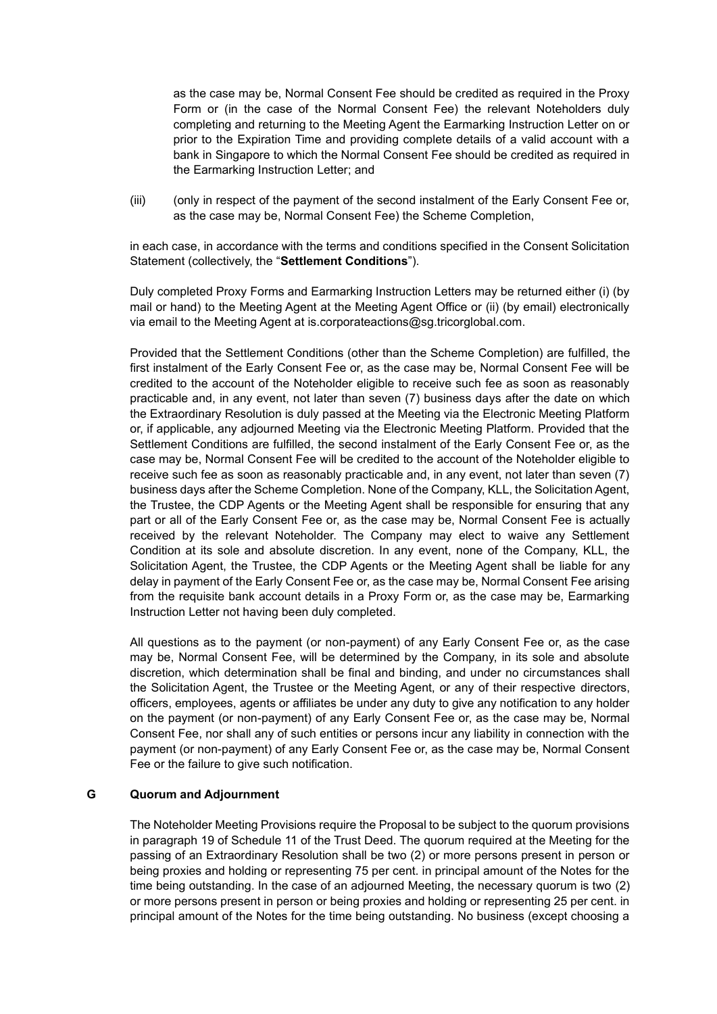as the case may be, Normal Consent Fee should be credited as required in the Proxy Form or (in the case of the Normal Consent Fee) the relevant Noteholders duly completing and returning to the Meeting Agent the Earmarking Instruction Letter on or prior to the Expiration Time and providing complete details of a valid account with a bank in Singapore to which the Normal Consent Fee should be credited as required in the Earmarking Instruction Letter; and

(iii) (only in respect of the payment of the second instalment of the Early Consent Fee or, as the case may be, Normal Consent Fee) the Scheme Completion,

in each case, in accordance with the terms and conditions specified in the Consent Solicitation Statement (collectively, the "**Settlement Conditions**").

Duly completed Proxy Forms and Earmarking Instruction Letters may be returned either (i) (by mail or hand) to the Meeting Agent at the Meeting Agent Office or (ii) (by email) electronically via email to the Meeting Agent at is.corporateactions@sg.tricorglobal.com.

Provided that the Settlement Conditions (other than the Scheme Completion) are fulfilled, the first instalment of the Early Consent Fee or, as the case may be, Normal Consent Fee will be credited to the account of the Noteholder eligible to receive such fee as soon as reasonably practicable and, in any event, not later than seven (7) business days after the date on which the Extraordinary Resolution is duly passed at the Meeting via the Electronic Meeting Platform or, if applicable, any adjourned Meeting via the Electronic Meeting Platform. Provided that the Settlement Conditions are fulfilled, the second instalment of the Early Consent Fee or, as the case may be, Normal Consent Fee will be credited to the account of the Noteholder eligible to receive such fee as soon as reasonably practicable and, in any event, not later than seven (7) business days after the Scheme Completion. None of the Company, KLL, the Solicitation Agent, the Trustee, the CDP Agents or the Meeting Agent shall be responsible for ensuring that any part or all of the Early Consent Fee or, as the case may be, Normal Consent Fee is actually received by the relevant Noteholder. The Company may elect to waive any Settlement Condition at its sole and absolute discretion. In any event, none of the Company, KLL, the Solicitation Agent, the Trustee, the CDP Agents or the Meeting Agent shall be liable for any delay in payment of the Early Consent Fee or, as the case may be, Normal Consent Fee arising from the requisite bank account details in a Proxy Form or, as the case may be, Earmarking Instruction Letter not having been duly completed.

All questions as to the payment (or non-payment) of any Early Consent Fee or, as the case may be, Normal Consent Fee, will be determined by the Company, in its sole and absolute discretion, which determination shall be final and binding, and under no circumstances shall the Solicitation Agent, the Trustee or the Meeting Agent, or any of their respective directors, officers, employees, agents or affiliates be under any duty to give any notification to any holder on the payment (or non-payment) of any Early Consent Fee or, as the case may be, Normal Consent Fee, nor shall any of such entities or persons incur any liability in connection with the payment (or non-payment) of any Early Consent Fee or, as the case may be, Normal Consent Fee or the failure to give such notification.

#### **G Quorum and Adjournment**

The Noteholder Meeting Provisions require the Proposal to be subject to the quorum provisions in paragraph 19 of Schedule 11 of the Trust Deed. The quorum required at the Meeting for the passing of an Extraordinary Resolution shall be two (2) or more persons present in person or being proxies and holding or representing 75 per cent. in principal amount of the Notes for the time being outstanding. In the case of an adjourned Meeting, the necessary quorum is two (2) or more persons present in person or being proxies and holding or representing 25 per cent. in principal amount of the Notes for the time being outstanding. No business (except choosing a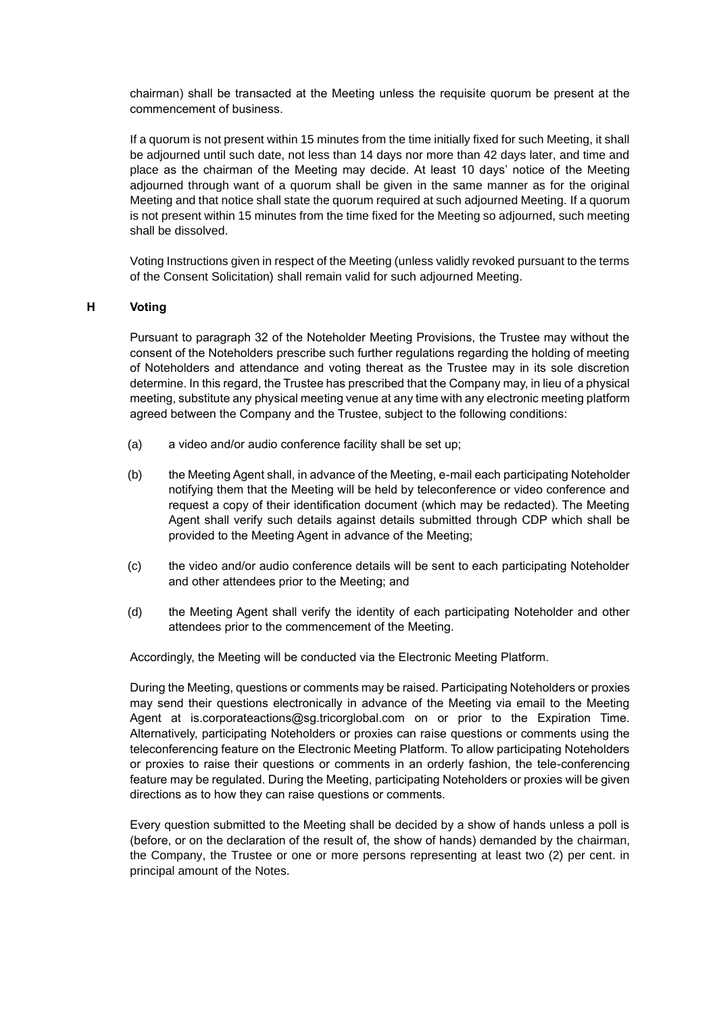chairman) shall be transacted at the Meeting unless the requisite quorum be present at the commencement of business.

If a quorum is not present within 15 minutes from the time initially fixed for such Meeting, it shall be adjourned until such date, not less than 14 days nor more than 42 days later, and time and place as the chairman of the Meeting may decide. At least 10 days' notice of the Meeting adjourned through want of a quorum shall be given in the same manner as for the original Meeting and that notice shall state the quorum required at such adjourned Meeting. If a quorum is not present within 15 minutes from the time fixed for the Meeting so adjourned, such meeting shall be dissolved.

Voting Instructions given in respect of the Meeting (unless validly revoked pursuant to the terms of the Consent Solicitation) shall remain valid for such adjourned Meeting.

## **H Voting**

Pursuant to paragraph 32 of the Noteholder Meeting Provisions, the Trustee may without the consent of the Noteholders prescribe such further regulations regarding the holding of meeting of Noteholders and attendance and voting thereat as the Trustee may in its sole discretion determine. In this regard, the Trustee has prescribed that the Company may, in lieu of a physical meeting, substitute any physical meeting venue at any time with any electronic meeting platform agreed between the Company and the Trustee, subject to the following conditions:

- (a) a video and/or audio conference facility shall be set up;
- (b) the Meeting Agent shall, in advance of the Meeting, e-mail each participating Noteholder notifying them that the Meeting will be held by teleconference or video conference and request a copy of their identification document (which may be redacted). The Meeting Agent shall verify such details against details submitted through CDP which shall be provided to the Meeting Agent in advance of the Meeting;
- (c) the video and/or audio conference details will be sent to each participating Noteholder and other attendees prior to the Meeting; and
- (d) the Meeting Agent shall verify the identity of each participating Noteholder and other attendees prior to the commencement of the Meeting.

Accordingly, the Meeting will be conducted via the Electronic Meeting Platform.

During the Meeting, questions or comments may be raised. Participating Noteholders or proxies may send their questions electronically in advance of the Meeting via email to the Meeting Agent at is.corporateactions@sg.tricorglobal.com on or prior to the Expiration Time. Alternatively, participating Noteholders or proxies can raise questions or comments using the teleconferencing feature on the Electronic Meeting Platform. To allow participating Noteholders or proxies to raise their questions or comments in an orderly fashion, the tele-conferencing feature may be regulated. During the Meeting, participating Noteholders or proxies will be given directions as to how they can raise questions or comments.

Every question submitted to the Meeting shall be decided by a show of hands unless a poll is (before, or on the declaration of the result of, the show of hands) demanded by the chairman, the Company, the Trustee or one or more persons representing at least two (2) per cent. in principal amount of the Notes.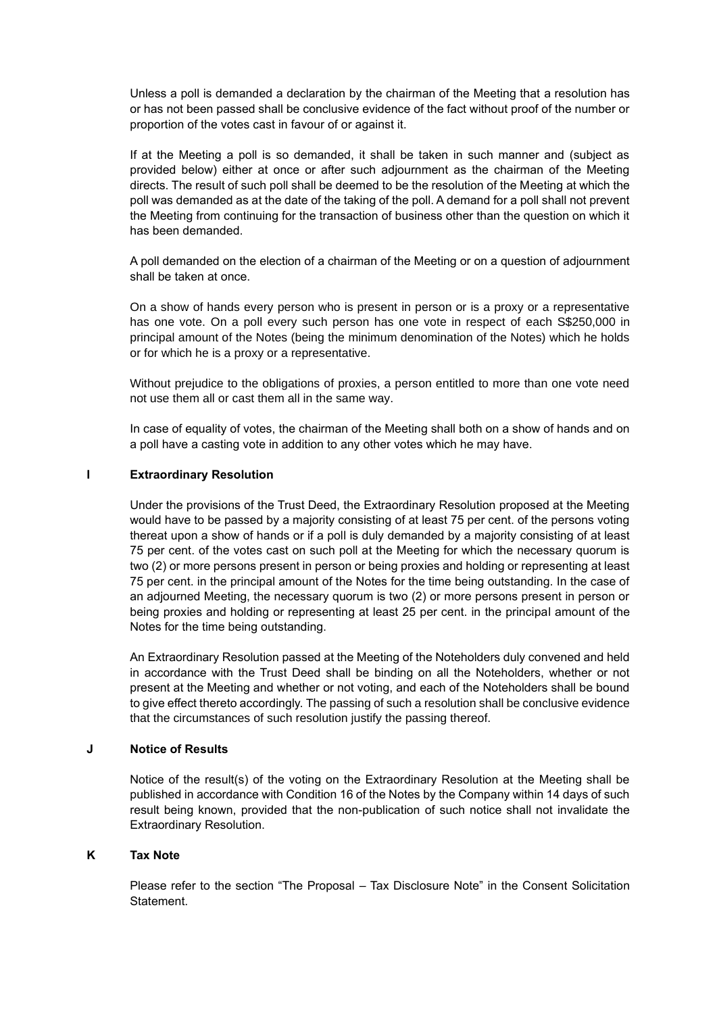Unless a poll is demanded a declaration by the chairman of the Meeting that a resolution has or has not been passed shall be conclusive evidence of the fact without proof of the number or proportion of the votes cast in favour of or against it.

If at the Meeting a poll is so demanded, it shall be taken in such manner and (subject as provided below) either at once or after such adjournment as the chairman of the Meeting directs. The result of such poll shall be deemed to be the resolution of the Meeting at which the poll was demanded as at the date of the taking of the poll. A demand for a poll shall not prevent the Meeting from continuing for the transaction of business other than the question on which it has been demanded.

A poll demanded on the election of a chairman of the Meeting or on a question of adjournment shall be taken at once.

On a show of hands every person who is present in person or is a proxy or a representative has one vote. On a poll every such person has one vote in respect of each S\$250,000 in principal amount of the Notes (being the minimum denomination of the Notes) which he holds or for which he is a proxy or a representative.

Without prejudice to the obligations of proxies, a person entitled to more than one vote need not use them all or cast them all in the same way.

In case of equality of votes, the chairman of the Meeting shall both on a show of hands and on a poll have a casting vote in addition to any other votes which he may have.

## **I Extraordinary Resolution**

Under the provisions of the Trust Deed, the Extraordinary Resolution proposed at the Meeting would have to be passed by a majority consisting of at least 75 per cent. of the persons voting thereat upon a show of hands or if a poll is duly demanded by a majority consisting of at least 75 per cent. of the votes cast on such poll at the Meeting for which the necessary quorum is two (2) or more persons present in person or being proxies and holding or representing at least 75 per cent. in the principal amount of the Notes for the time being outstanding. In the case of an adjourned Meeting, the necessary quorum is two (2) or more persons present in person or being proxies and holding or representing at least 25 per cent. in the principal amount of the Notes for the time being outstanding.

An Extraordinary Resolution passed at the Meeting of the Noteholders duly convened and held in accordance with the Trust Deed shall be binding on all the Noteholders, whether or not present at the Meeting and whether or not voting, and each of the Noteholders shall be bound to give effect thereto accordingly. The passing of such a resolution shall be conclusive evidence that the circumstances of such resolution justify the passing thereof.

### **J Notice of Results**

Notice of the result(s) of the voting on the Extraordinary Resolution at the Meeting shall be published in accordance with Condition 16 of the Notes by the Company within 14 days of such result being known, provided that the non-publication of such notice shall not invalidate the Extraordinary Resolution.

#### **K Tax Note**

Please refer to the section "The Proposal – Tax Disclosure Note" in the Consent Solicitation Statement.